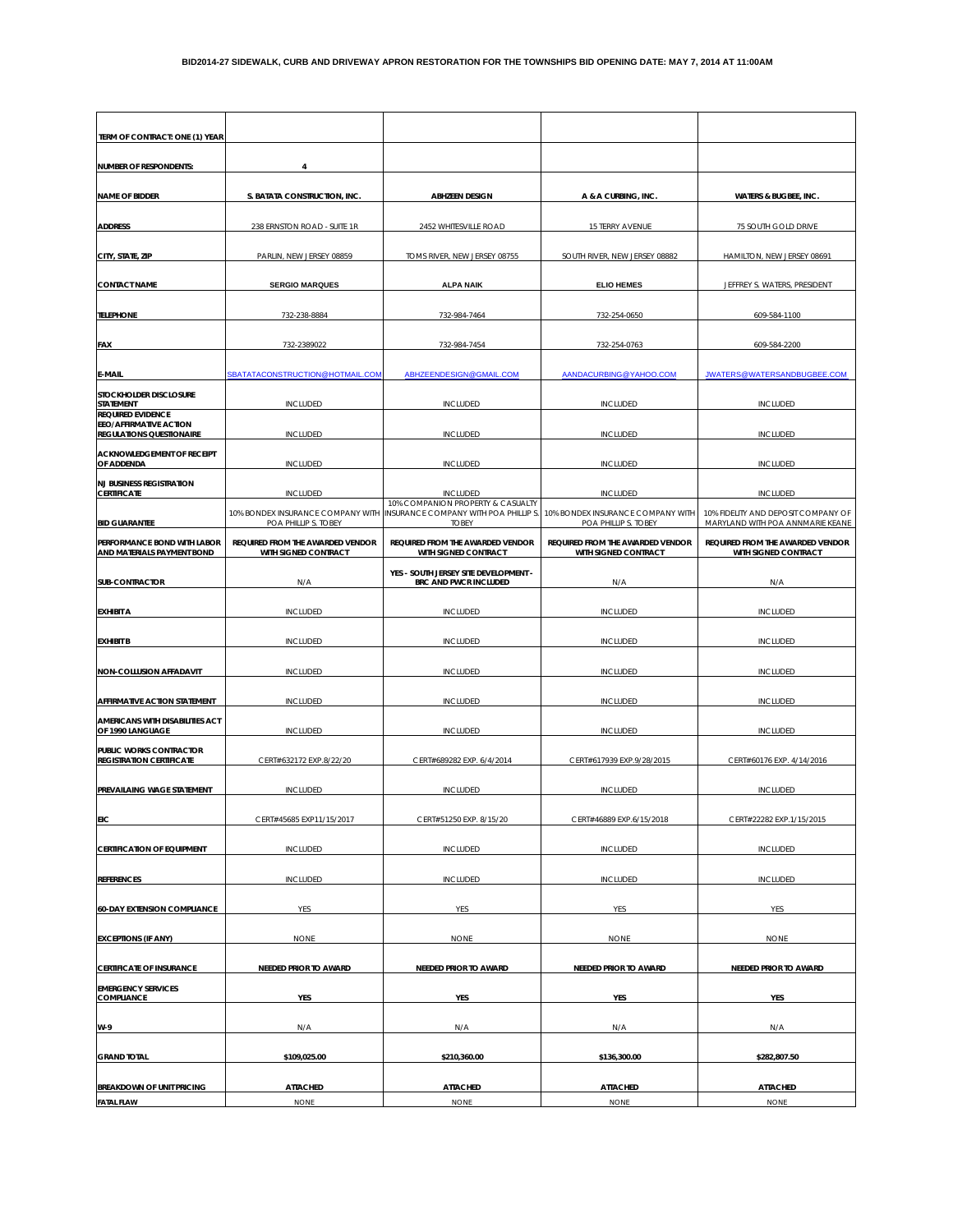| TERM OF CONTRACT: ONE (1) YEAR                                                        |                                                          |                                                                                               |                                                          |                                                          |
|---------------------------------------------------------------------------------------|----------------------------------------------------------|-----------------------------------------------------------------------------------------------|----------------------------------------------------------|----------------------------------------------------------|
| <b>NUMBER OF RESPONDENTS:</b>                                                         | 4                                                        |                                                                                               |                                                          |                                                          |
| <b>NAME OF BIDDER</b>                                                                 | S. BATATA CONSTRUCTION, INC.                             | <b>ABHZEEN DESIGN</b>                                                                         | A & A CURBING, INC.                                      | <b>WATERS &amp; BUGBEE, INC.</b>                         |
| <b>ADDRESS</b>                                                                        | 238 ERNSTON ROAD - SUITE 1R                              | 2452 WHITESVILLE ROAD                                                                         | 15 TERRY AVENUE                                          | 75 SOUTH GOLD DRIVE                                      |
| CITY, STATE, ZIP                                                                      | PARLIN, NEW JERSEY 08859                                 | TOMS RIVER, NEW JERSEY 08755                                                                  | SOUTH RIVER, NEW JERSEY 08882                            | HAMILTON, NEW JERSEY 08691                               |
| <b>CONTACT NAME</b>                                                                   | <b>SERGIO MARQUES</b>                                    | <b>ALPA NAIK</b>                                                                              | <b>ELIO HEMES</b>                                        | JEFFREY S. WATERS, PRESIDENT                             |
|                                                                                       |                                                          |                                                                                               |                                                          |                                                          |
| <b>TELEPHONE</b>                                                                      | 732-238-8884                                             | 732-984-7464                                                                                  | 732-254-0650                                             | 609-584-1100                                             |
| <b>FAX</b>                                                                            | 732-2389022                                              | 732-984-7454                                                                                  | 732-254-0763                                             | 609-584-2200                                             |
| E-MAIL                                                                                | SBATATACONSTRUCTION@HOTMAIL.COM                          | ABHZEENDESIGN@GMAIL.COM                                                                       | AANDACURBING@YAHOO.COM                                   | JWATERS@WATERSANDBUGBEE.COM                              |
| STOCKHOLDER DISCLOSURE<br>STATEMENT                                                   | <b>INCLUDED</b>                                          | <b>INCLUDED</b>                                                                               | <b>INCLUDED</b>                                          | <b>INCLUDED</b>                                          |
| <b>REQUIRED EVIDENCE</b><br>EEO/AFFIRMATIVE ACTION<br><b>REGULATIONS QUESTIONAIRE</b> | <b>INCLUDED</b>                                          | <b>INCLUDED</b>                                                                               | <b>INCLUDED</b>                                          | <b>INCLUDED</b>                                          |
| <b>ACKNOWLEDGEMENT OF RECEIPT</b><br>OF ADDENDA                                       | <b>INCLUDED</b>                                          | <b>INCLUDED</b>                                                                               | <b>INCLUDED</b>                                          | <b>INCLUDED</b>                                          |
| <b>NJ BUSINESS REGISTRATION</b>                                                       |                                                          |                                                                                               |                                                          |                                                          |
| <b>CERTIFICATE</b>                                                                    | <b>INCLUDED</b><br>10% BONDEX INSURANCE COMPANY WITH     | <b>INCLUDED</b><br>10% COMPANION PROPERTY & CASUALTY<br>INSURANCE COMPANY WITH POA PHILLIP S. | <b>INCLUDED</b><br>10% BONDEX INSURANCE COMPANY WITH     | <b>INCLUDED</b><br>10% FIDELITY AND DEPOSIT COMPANY OF   |
| <b>BID GUARANTEE</b>                                                                  | POA PHILLIP S. TOBEY                                     | <b>TOBEY</b><br>REQUIRED FROM THE AWARDED VENDOR                                              | POA PHILLIP S. TOBEY<br>REQUIRED FROM THE AWARDED VENDOR | MARYLAND WITH POA ANNMARIE KEANE                         |
| PERFORMANCE BOND WITH LABOR<br>AND MATERIALS PAYMENT BOND                             | REQUIRED FROM THE AWARDED VENDOR<br>WITH SIGNED CONTRACT | WITH SIGNED CONTRACT                                                                          | WITH SIGNED CONTRACT                                     | REQUIRED FROM THE AWARDED VENDOR<br>WITH SIGNED CONTRACT |
| <b>SUB-CONTRACTOR</b>                                                                 | N/A                                                      | YES - SOUTH JERSEY SITE DEVELOPMENT -<br>BRC AND PWCR INCLUDED                                | N/A                                                      | N/A                                                      |
| <b>EXHIBIT A</b>                                                                      | <b>INCLUDED</b>                                          | <b>INCLUDED</b>                                                                               | <b>INCLUDED</b>                                          | <b>INCLUDED</b>                                          |
| <b>EXHIBIT B</b>                                                                      | <b>INCLUDED</b>                                          | <b>INCLUDED</b>                                                                               | <b>INCLUDED</b>                                          | <b>INCLUDED</b>                                          |
| NON-COLLUSION AFFADAVIT                                                               | <b>INCLUDED</b>                                          | <b>INCLUDED</b>                                                                               | <b>INCLUDED</b>                                          | <b>INCLUDED</b>                                          |
| AFFIRMATIVE ACTION STATEMENT                                                          | <b>INCLUDED</b>                                          | <b>INCLUDED</b>                                                                               | <b>INCLUDED</b>                                          | <b>INCLUDED</b>                                          |
| AMERICANS WITH DISABILITIES ACT<br>OF 1990 LANGUAGE                                   | <b>INCLUDED</b>                                          | <b>INCLUDED</b>                                                                               | <b>INCLUDED</b>                                          | <b>INCLUDED</b>                                          |
| PUBLIC WORKS CONTRACTOR                                                               |                                                          |                                                                                               |                                                          |                                                          |
| <b>REGISTRATION CERTIFICATE</b>                                                       | CERT#632172 EXP.8/22/20                                  | CERT#689282 EXP. 6/4/2014                                                                     | CERT#617939 EXP.9/28/2015                                | CERT#60176 EXP. 4/14/2016                                |
| PREVAILAING WAGE STATEMENT                                                            | <b>INCLUDED</b>                                          | <b>INCLUDED</b>                                                                               | <b>INCLUDED</b>                                          | <b>INCLUDED</b>                                          |
| <b>EIC</b>                                                                            | CERT#45685 EXP11/15/2017                                 | CERT#51250 EXP. 8/15/20                                                                       | CERT#46889 EXP.6/15/2018                                 | CERT#22282 EXP.1/15/2015                                 |
| <b>CERTIFICATION OF EQUIPMENT</b>                                                     | <b>INCLUDED</b>                                          | <b>INCLUDED</b>                                                                               | <b>INCLUDED</b>                                          | <b>INCLUDED</b>                                          |
| <b>REFERENCES</b>                                                                     | <b>INCLUDED</b>                                          | <b>INCLUDED</b>                                                                               | <b>INCLUDED</b>                                          | <b>INCLUDED</b>                                          |
| <b>60-DAY EXTENSION COMPLIANCE</b>                                                    | YES                                                      | YES                                                                                           | YES                                                      | YES                                                      |
| <b>EXCEPTIONS (IF ANY)</b>                                                            | <b>NONE</b>                                              | <b>NONE</b>                                                                                   | <b>NONE</b>                                              | <b>NONE</b>                                              |
| <b>CERTIFICATE OF INSURANCE</b>                                                       | NEEDED PRIOR TO AWARD                                    | NEEDED PRIOR TO AWARD                                                                         | NEEDED PRIOR TO AWARD                                    | NEEDED PRIOR TO AWARD                                    |
| <b>EMERGENCY SERVICES</b><br><b>COMPLIANCE</b>                                        | YES                                                      | YES                                                                                           | YES                                                      | YES                                                      |
| W-9                                                                                   | N/A                                                      | N/A                                                                                           | N/A                                                      | N/A                                                      |
|                                                                                       |                                                          |                                                                                               |                                                          |                                                          |
| <b>GRAND TOTAL</b>                                                                    | \$109,025.00                                             | \$210,360.00                                                                                  | \$136,300.00                                             | \$282,807.50                                             |
| <b>BREAKDOWN OF UNIT PRICING</b>                                                      | <b>ATTACHED</b>                                          | <b>ATTACHED</b>                                                                               | <b>ATTACHED</b>                                          | <b>ATTACHED</b>                                          |
| <b>FATAL FLAW</b>                                                                     | <b>NONE</b>                                              | <b>NONE</b>                                                                                   | <b>NONE</b>                                              | <b>NONE</b>                                              |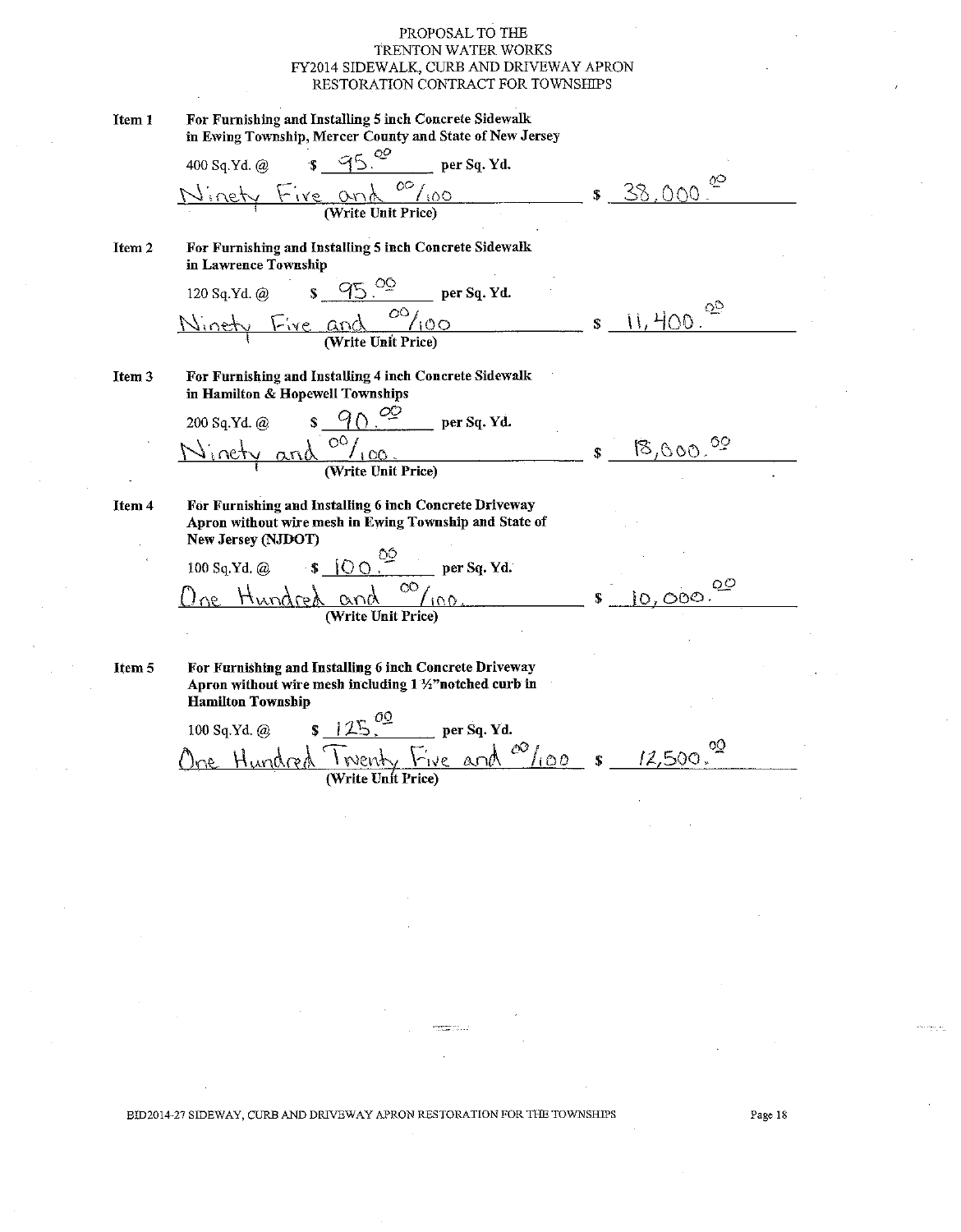| Item 1 | For Furnishing and Installing 5 inch Concrete Sidewalk<br>in Ewing Township, Mercer County and State of New Jersey                                                                                                                                                                                                                                    |              |           |
|--------|-------------------------------------------------------------------------------------------------------------------------------------------------------------------------------------------------------------------------------------------------------------------------------------------------------------------------------------------------------|--------------|-----------|
|        |                                                                                                                                                                                                                                                                                                                                                       |              |           |
|        | 400 Sq. Yd. @ $\frac{95.00}{\text{per Sq. Yd.}}$ per Sq. Yd.                                                                                                                                                                                                                                                                                          |              | \$38,000. |
| Item 2 | For Furnishing and Installing 5 inch Concrete Sidewalk<br>in Lawrence Township                                                                                                                                                                                                                                                                        |              |           |
|        |                                                                                                                                                                                                                                                                                                                                                       |              |           |
|        | 120 Sq. Yd. @ $\frac{\sqrt{95}}{95}$ per Sq. Yd.<br>Ninety Five and $\frac{OQ}{(Write Unit Price)}$                                                                                                                                                                                                                                                   | $\mathbb{S}$ | 11,400.   |
|        |                                                                                                                                                                                                                                                                                                                                                       |              |           |
| Item 3 | For Furnishing and Installing 4 inch Concrete Sidewalk<br>in Hamilton & Hopewell Townships                                                                                                                                                                                                                                                            |              |           |
|        |                                                                                                                                                                                                                                                                                                                                                       |              |           |
|        | 200 Sq. Yd. @ $\frac{90^{\frac{20}{\frac{100}{\frac{100}{\frac{100}{\frac{100}{\frac{100}{\frac{100}{\frac{100}{\frac{100}{\frac{100}{\frac{100}{\frac{100}{\frac{100}{\frac{100}{\frac{100}{\frac{100}{\frac{100}{\frac{100}{\frac{100}{\frac{100}{\frac{100}{\frac{100}{\frac{100}{\frac{100}{\frac{100}{\frac{100}{\frac{100}{\frac{100}{\frac{10$ | S.           | 8,000.02  |
|        |                                                                                                                                                                                                                                                                                                                                                       |              |           |
| Item 4 | For Furnishing and Installing 6 inch Concrete Driveway<br>Apron without wire mesh in Ewing Township and State of<br>New Jersey (NJDOT)                                                                                                                                                                                                                |              |           |
|        |                                                                                                                                                                                                                                                                                                                                                       |              |           |
|        | 100 Sq. Yd. @ $\frac{$100^{\frac{00}{2}}}{\text{er sq. Yd.}}$ per Sq. Yd.<br>$\frac{\text{O}_{100}}{\text{Write Unit Price}}$ $\frac{00}{\text{Price}}$ $\frac{10,000}{\text{O}}$                                                                                                                                                                     |              |           |
|        |                                                                                                                                                                                                                                                                                                                                                       |              |           |
| Item 5 | For Furnishing and Installing 6 inch Concrete Driveway<br>Apron without wire mesh including 1 1/2" notched curb in<br><b>Hamilton Township</b>                                                                                                                                                                                                        |              |           |
|        |                                                                                                                                                                                                                                                                                                                                                       |              |           |
|        | 100 sq. Yd. @ $s$ 125. <sup>00</sup> per Sq. Yd.<br>Ore Hundred Twenty Five and <sup>00</sup> /100 $s$ 12,500.                                                                                                                                                                                                                                        |              |           |
|        |                                                                                                                                                                                                                                                                                                                                                       |              |           |

BID2014-27 SIDEWAY, CURB AND DRIVEWAY APRON RESTORATION FOR THE TOWNSHIPS

angganaan ini jir<br>Tiro haan ini jiro core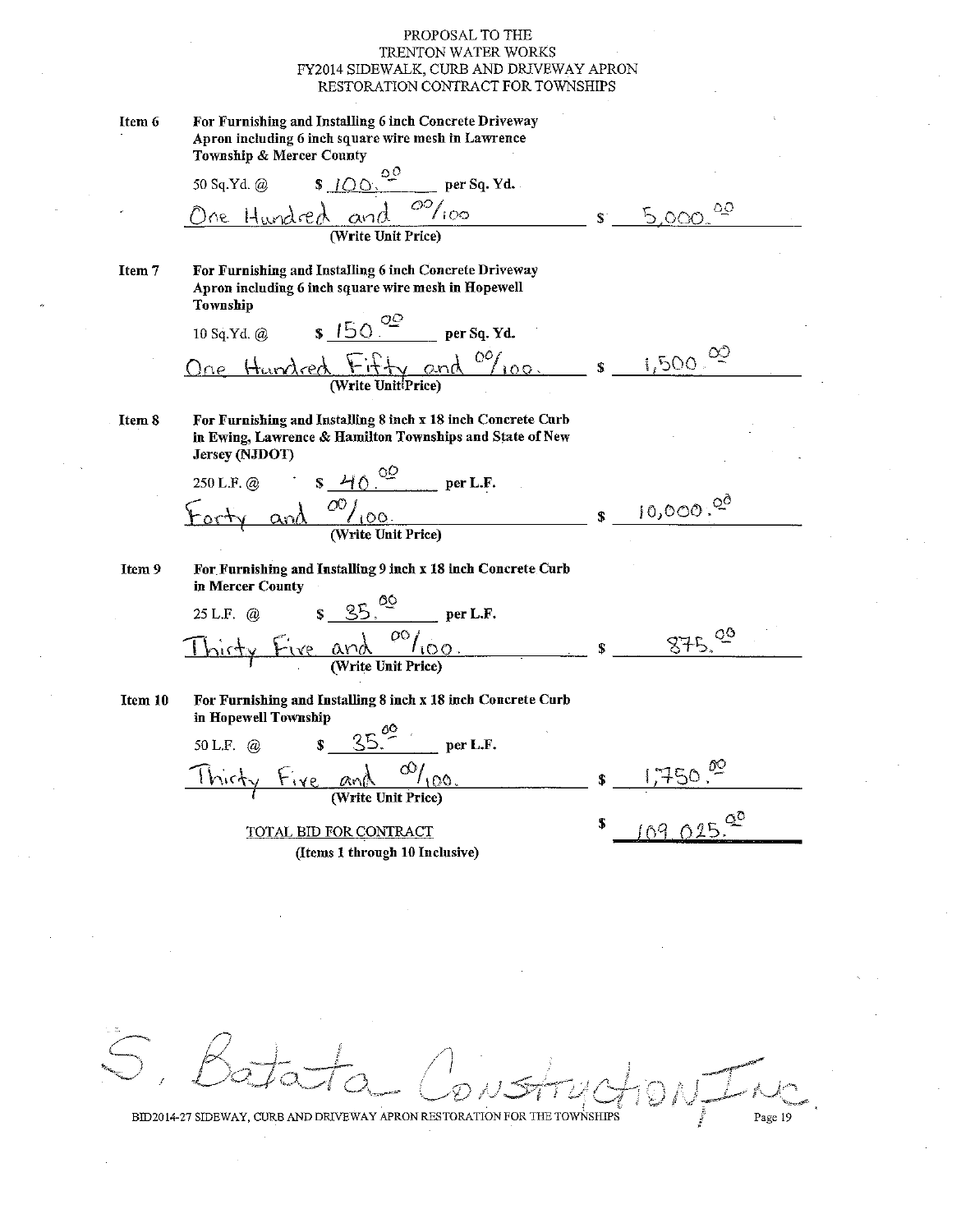For Furnishing and Installing 6 inch Concrete Driveway Item 6 Apron including 6 inch square wire mesh in Lawrence Township & Mercer County οÖ 50 Sq.Yd. @  $S$  100. per Sq. Yd.  $\overline{\omega}_{\text{loop}}$ ٥O and  $\alpha$ (Write Unit Price) For Furnishing and Installing 6 inch Concrete Driveway Item 7 Apron including 6 inch square wire mesh in Hopewell Township s  $150 \frac{90}{100}$  per Sq. Yd. 10 Sq.Yd. @  $1,500 \n^{\circ 2}$ Hundred Fifty and <sup>00</sup>/100.  $\mathbf{s}$ For Furnishing and Installing 8 inch x 18 inch Concrete Curb Item 8 in Ewing, Lawrence & Hamilton Townships and State of New Jersey (NJDOT)  $\frac{4000}{\text{ per L.F.}}$ 250 L.F. @  $\frac{O\bigcup_{i \text{OO}}}{\text{(Write Unit Price)}}$  $10,000.^{00}$  $\alpha$ nd For Furnishing and Installing 9 inch x 18 inch Concrete Curb Item 9 in Mercer County  $per L.F.$  $25 L.F.$  @  $\frac{d \Omega}{d \Omega}$  $87500$ For Furnishing and Installing 8 inch x 18 inch Concrete Curb Item 10 in Hopewell Township  $35^{00}$  $per L.F.$ 50 L.F. @  $\mathbf{F}$  $\frac{\alpha_{\text{V}}\lambda}{(\text{Write Unit Price})}$  $Fix$ lhirty  $109.025$ <sup>20</sup> TOTAL BID FOR CONTRACT (Items 1 through 10 Inclusive)

Page 19

BID2014-27 SIDEWAY, CURB AND DRIVEWAY APRON RESTORATION FOR THE TOWNSHIPS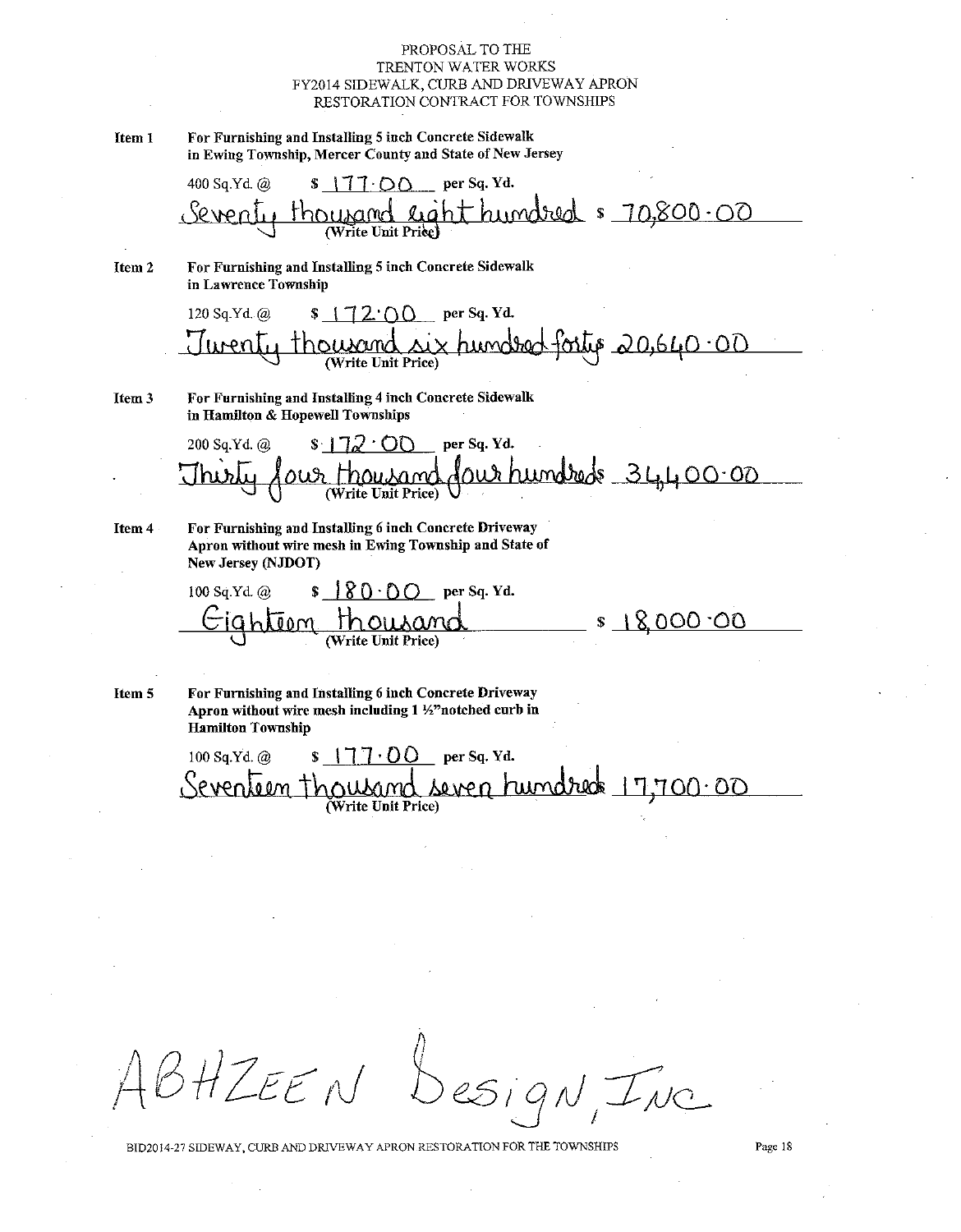For Furnishing and Installing 5 inch Concrete Sidewalk Item 1 in Ewing Township, Mercer County and State of New Jersey

400 Sq.Yd. @  $\sqrt{77}$  OO per Sq. Yd.  $ht$  humdred  $s$   $70,800.00$ <u>sUNaMc leg</u><br>(Write Unit Priee)

For Furnishing and Installing 5 inch Concrete Sidewalk Item<sub>2</sub> in Lawrence Township

120 Sq.Yd. @  $\sqrt{72.0}$  per Sq. Yd. <u>six hundred fortio 20,640.00</u> LINO hnwwm (Write Unit Price)

For Furnishing and Installing 4 inch Concrete Sidewalk Item<sub>3</sub> in Hamilton & Hopewell Townships

Item 4

For Furnishing and Installing 6 inch Concrete Driveway Apron without wire mesh in Ewing Township and State of New Jersey (NJDOT)

 $\S$  |  $\S$  ()  $\cdot \cap$  o per Sq. Yd. 100 Sq Yd. @ <u>s 18,000 °O0</u> ahtiom

For Furnishing and Installing 6 inch Concrete Driveway Item 5 Apron without wire mesh including 1 ½"notched curb in **Hamilton Township** 

100 Sq.Yd. @  $S$  | 77.00 per Sq. Yd. seven hundred 17,700.00 Sevenbeen tho Write Unit Price)

 $B H Z E E N$ esign Inc

BID2014-27 SIDEWAY, CURB AND DRIVEWAY APRON RESTORATION FOR THE TOWNSHIPS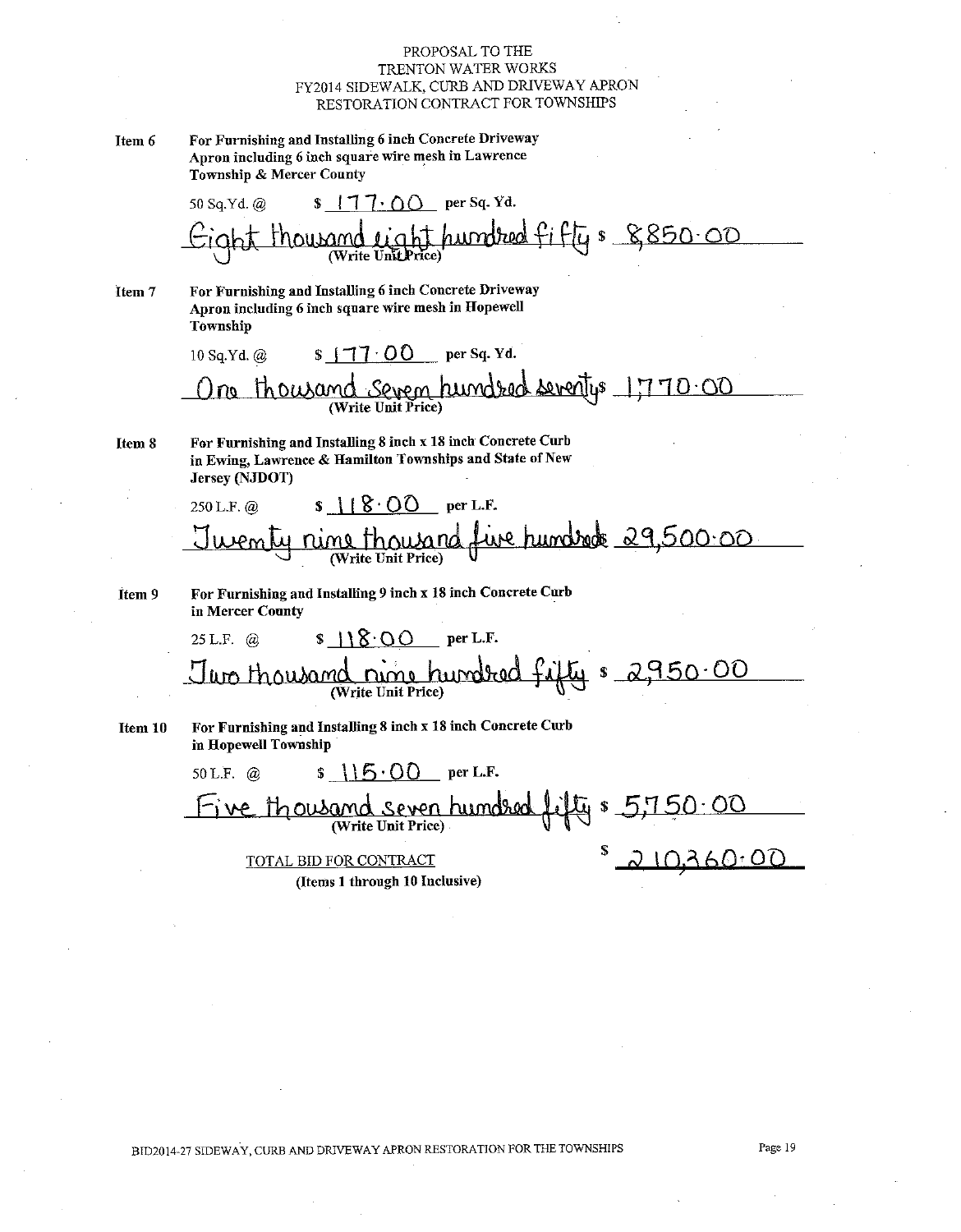For Furnishing and Installing 6 inch Concrete Driveway Item 6 Apron including 6 inch square wire mesh in Lawrence Township & Mercer County

 $\sqrt{7} \cdot 0$  per Sq. Yd. 50 Sq.Yd. @ humbred fifty & 8850.00

For Furnishing and Installing 6 inch Concrete Driveway Item 7 Apron including 6 inch square wire mesh in Hopewell Township

10 Sq.Yd. @  $S$   $\uparrow$   $\uparrow$   $\uparrow$   $\uparrow$   $\uparrow$   $\uparrow$   $\uparrow$   $\uparrow$   $\uparrow$   $\uparrow$   $\uparrow$   $\uparrow$   $\uparrow$   $\uparrow$   $\uparrow$   $\uparrow$   $\uparrow$   $\uparrow$   $\uparrow$   $\uparrow$   $\uparrow$   $\uparrow$   $\uparrow$   $\uparrow$   $\uparrow$   $\uparrow$   $\uparrow$   $\uparrow$   $\uparrow$   $\uparrow$   $\uparrow$   $\uparrow$   $\uparrow$   $\uparrow$   $\uparrow$   $\uparrow$  <u>Sevem humdred seventys 1770.00</u> **Thousand** no

For Furnishing and Installing 8 inch x 18 inch Concrete Curb Item 8 in Ewing, Lawrence & Hamilton Townships and State of New Jersey (NJDOT)

Item 9

For Furnishing and Installing 9 inch x 18 inch Concrete Curb in Mercer County

For Furnishing and Installing 8 inch x 18 inch Concrete Curb Item 10 in Hopewell Township

 $\frac{1}{5}$  \\\f\j \cdot \cdot \cdot \cdot \cdot \cdot \cdot \cdot \cdot \cdot \cdot \cdot \cdot \cdot \cdot \cdot \cdot \cdot \cdot \cdot \cdot \cdot \cdot \cdot \cdot \cdot \cdot \cdot \cdot \cdot \cdot \cdot \cdot \cdot 50 L.F.  $\omega$ thousand seven hundred (Write Unit Price) <u> ம</u> 00 TOTAL BID FOR CONTRACT

(Items 1 through 10 Inclusive)

BID2014-27 SIDEWAY, CURB AND DRIVEWAY APRON RESTORATION FOR THE TOWNSHIPS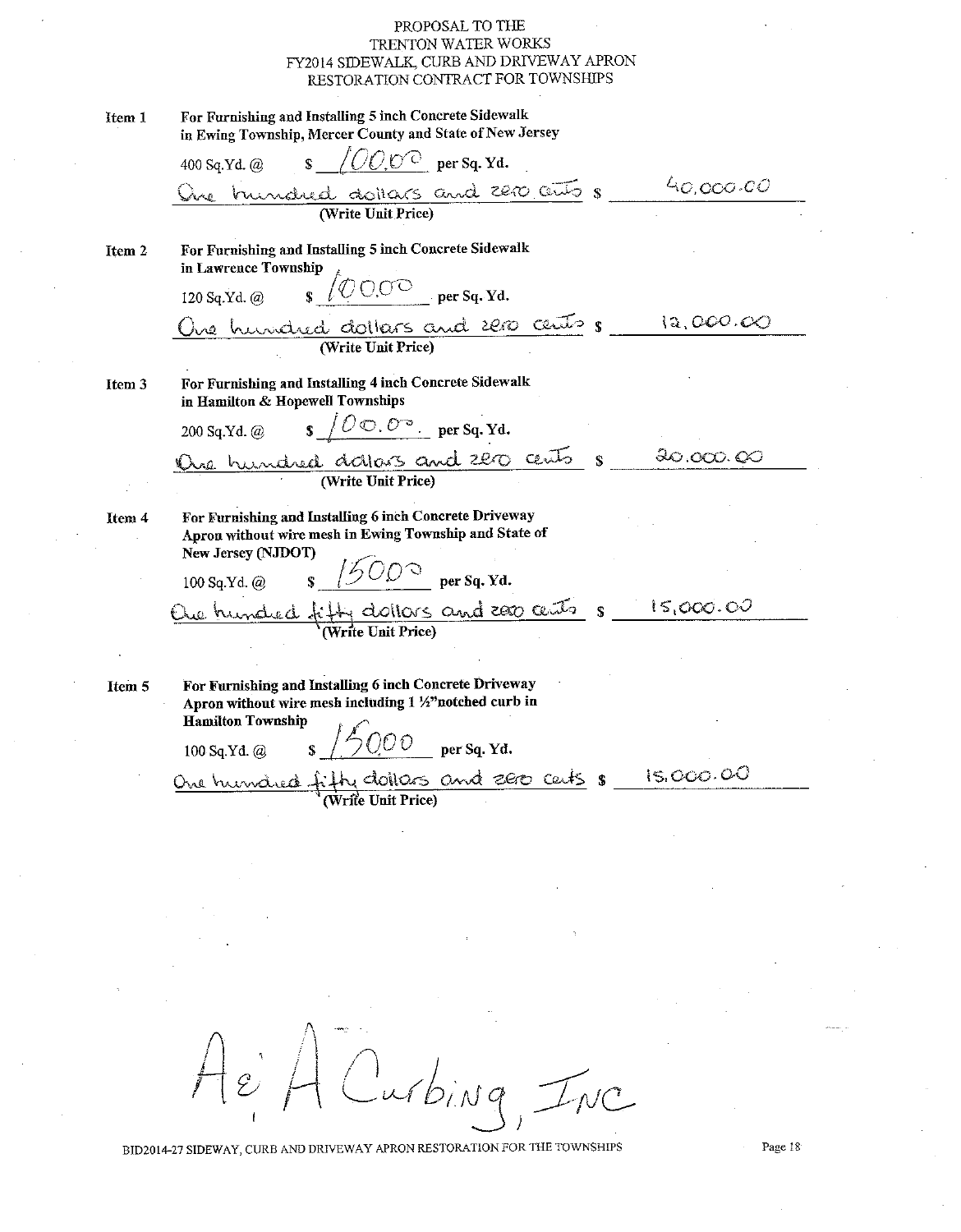| Item 1 | For Furnishing and Installing 5 inch Concrete Sidewalk<br>in Ewing Township, Mercer County and State of New Jersey                                                                                                                                                                                                                      |           |
|--------|-----------------------------------------------------------------------------------------------------------------------------------------------------------------------------------------------------------------------------------------------------------------------------------------------------------------------------------------|-----------|
|        | 400 Sq.Yd. @ $\qquad$ \$ $\sqrt{OO, O^2}$ per Sq.Yd.                                                                                                                                                                                                                                                                                    |           |
|        | Que trundred dollars and 2200 cents 8                                                                                                                                                                                                                                                                                                   | 40.000.00 |
|        |                                                                                                                                                                                                                                                                                                                                         |           |
| Item 2 | For Furnishing and Installing 5 inch Concrete Sidewalk<br>in Lawrence Township                                                                                                                                                                                                                                                          |           |
|        | 120 Sq.Yd. @ $\int \circ \circ \circ \circ$ per Sq.Yd.                                                                                                                                                                                                                                                                                  |           |
|        | One hundred dollars and 2000 cents 8                                                                                                                                                                                                                                                                                                    | 12,000.00 |
|        |                                                                                                                                                                                                                                                                                                                                         |           |
| Item 3 | For Furnishing and Installing 4 inch Concrete Sidewalk<br>in Hamilton & Hopewell Townships                                                                                                                                                                                                                                              |           |
|        | 200 Sq.Yd. @ $\qquad$ $\qquad$ $\qquad$ $\qquad$ $\qquad$ $\qquad$ $\qquad$ $\qquad$ $\qquad$ $\qquad$ $\qquad$ $\qquad$ $\qquad$ $\qquad$ $\qquad$ $\qquad$ $\qquad$ $\qquad$ $\qquad$ $\qquad$ $\qquad$ $\qquad$ $\qquad$ $\qquad$ $\qquad$ $\qquad$ $\qquad$ $\qquad$ $\qquad$ $\qquad$ $\qquad$ $\qquad$ $\qquad$ $\qquad$ $\qquad$ |           |
|        |                                                                                                                                                                                                                                                                                                                                         | 30.000.00 |
|        | Oue hundred dators and 220 cents s                                                                                                                                                                                                                                                                                                      |           |
| Item 4 | For Furnishing and Installing 6 inch Concrete Driveway<br>Apron without wire mesh in Ewing Township and State of<br>New Jersey (NJDOT)                                                                                                                                                                                                  |           |
|        | 100 Sq.Yd. @ $\frac{\cancel{500^{\circ}}}{\cancel{500^{\circ}}}$ per Sq.Yd.                                                                                                                                                                                                                                                             |           |
|        | Oue hundred fitty dollars and 2000 cents $s = 15,000.00$                                                                                                                                                                                                                                                                                |           |
|        |                                                                                                                                                                                                                                                                                                                                         |           |
|        |                                                                                                                                                                                                                                                                                                                                         |           |
| Item 5 | For Furnishing and Installing 6 inch Concrete Driveway<br>Apron without wire mesh including 1 1/2" notched curb in                                                                                                                                                                                                                      |           |
|        | <b>Hamilton Township</b><br>$\frac{1}{2}$ / $\frac{1}{2}$ 0.00 per Sq. Yd.<br>100 Sq.Yd. @                                                                                                                                                                                                                                              |           |
|        | One hundred fifty dollars and zero certs s                                                                                                                                                                                                                                                                                              | 15,000.00 |
|        |                                                                                                                                                                                                                                                                                                                                         |           |
|        |                                                                                                                                                                                                                                                                                                                                         |           |

Curbing, INC  $Ae$ 

BID2014-27 SIDEWAY, CURB AND DRIVEWAY APRON RESTORATION FOR THE TOWNSHIPS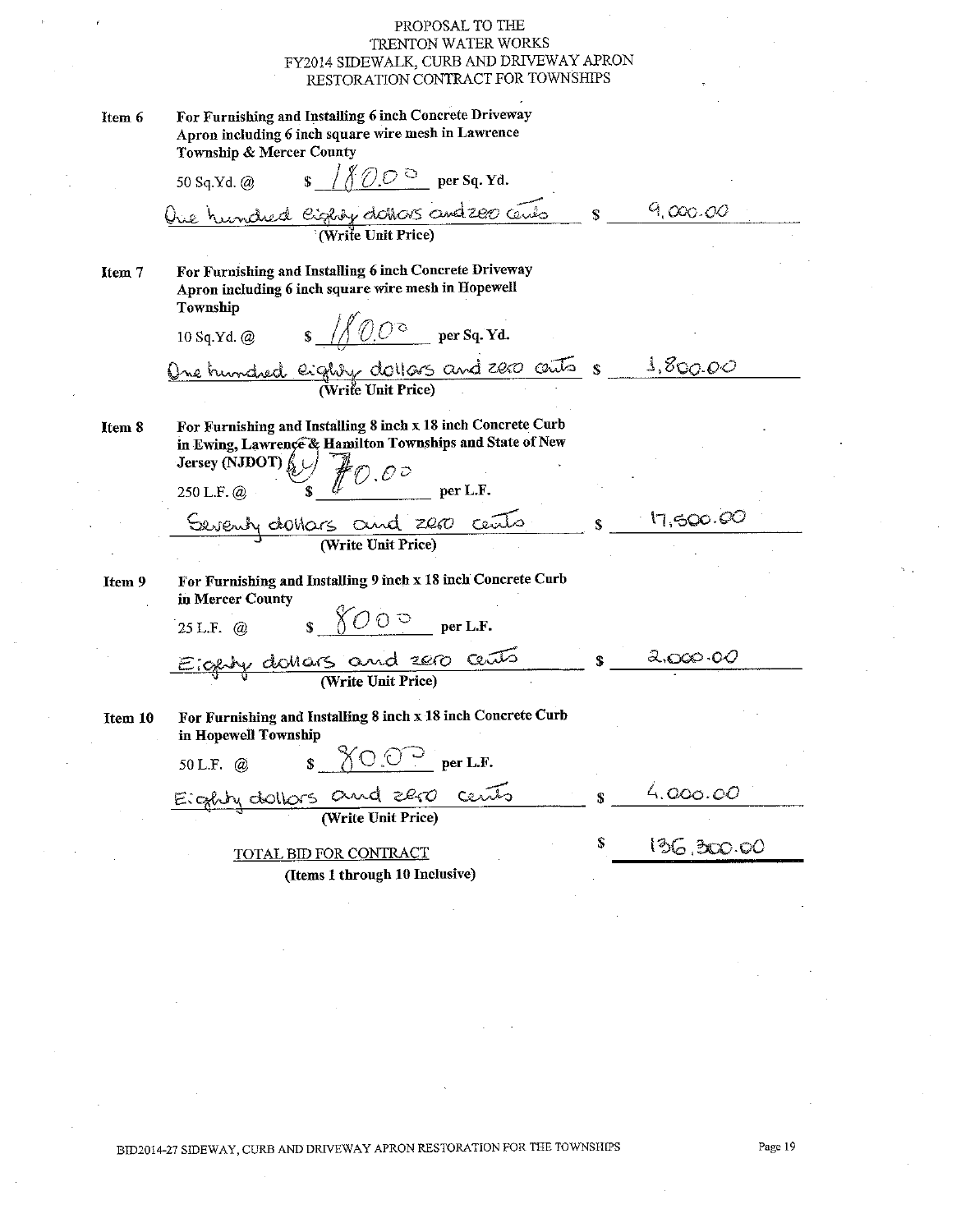| Item 6  | For Furnishing and Installing 6 inch Concrete Driveway<br>Apron including 6 inch square wire mesh in Lawrence<br>Township & Mercer County                                                                                                                                                                                                                                                                              |              |            |
|---------|------------------------------------------------------------------------------------------------------------------------------------------------------------------------------------------------------------------------------------------------------------------------------------------------------------------------------------------------------------------------------------------------------------------------|--------------|------------|
|         | 50 Sq.Yd. @ $\qquad \qquad$ $\frac{\sqrt{77.0^{\circ}}}{\sqrt{77.0^{\circ}}}$ per Sq.Yd.                                                                                                                                                                                                                                                                                                                               |              |            |
|         | One hundred eighty dators and 200 cents                                                                                                                                                                                                                                                                                                                                                                                | $\mathbf S$  | 9,000.00   |
| Item 7  | For Furnishing and Installing 6 inch Concrete Driveway<br>Apron including 6 inch square wire mesh in Hopewell<br>Township                                                                                                                                                                                                                                                                                              |              |            |
|         | 10 Sq.Yd. @ $\sqrt{\sqrt{O O^2}}$ per Sq.Yd.                                                                                                                                                                                                                                                                                                                                                                           |              |            |
|         | One hundred eighty dollars and 2000 cents $s = 1.800.00$<br>(Write Unit Price)                                                                                                                                                                                                                                                                                                                                         |              |            |
|         |                                                                                                                                                                                                                                                                                                                                                                                                                        |              |            |
| Item 8  | For Furnishing and Installing 8 inch x 18 inch Concrete Curb<br>in Ewing, Lawrence & Hamilton Townships and State of New                                                                                                                                                                                                                                                                                               |              |            |
|         | Hersey (NJDOT) $\left\{\bigcup_{s}\right\}$ $\left\{\bigcup_{s\in S} \bigcup_{s\in S} \bigcup_{s\in S} \bigcup_{s\in S} \bigcup_{s\in S} \bigcup_{s\in S} \bigcup_{s\in S} \bigcup_{s\in S} \bigcup_{s\in S} \bigcup_{s\in S} \bigcup_{s\in S} \bigcup_{s\in S} \bigcup_{s\in S} \bigcup_{s\in S} \bigcup_{s\in S} \bigcup_{s\in S} \bigcup_{s\in S} \bigcup_{s\in S} \bigcup_{s\in S} \bigcup_{s\in S} \bigcup_{s\in$ |              |            |
|         | Seventy do Mars and 2000 cents                                                                                                                                                                                                                                                                                                                                                                                         | $\mathbf{S}$ | 17,500.60  |
|         |                                                                                                                                                                                                                                                                                                                                                                                                                        |              |            |
| Item 9  | For Furnishing and Installing 9 inch x 18 inch Concrete Curb<br>in Mercer County                                                                                                                                                                                                                                                                                                                                       |              |            |
|         | 25 L.F. @ $\sqrt{$\bigcirc \atop 0}$ $\circ$ per L.F.                                                                                                                                                                                                                                                                                                                                                                  |              |            |
|         | Eigeby dollars and 2000 cents                                                                                                                                                                                                                                                                                                                                                                                          | $\mathbf{s}$ | 2,000,00   |
|         |                                                                                                                                                                                                                                                                                                                                                                                                                        |              |            |
| Item 10 | For Furnishing and Installing 8 inch x 18 inch Concrete Curb<br>in Hopewell Township                                                                                                                                                                                                                                                                                                                                   |              |            |
|         | 50 L.F. @ $\sqrt{$\bigcirc \bigcirc^2}$$ per L.F.                                                                                                                                                                                                                                                                                                                                                                      |              |            |
|         | Eighly dollars and 280 cents                                                                                                                                                                                                                                                                                                                                                                                           | $\mathbf{s}$ | 4.000.00   |
|         | TOTAL BID FOR CONTRACT                                                                                                                                                                                                                                                                                                                                                                                                 | \$           | 136,300.00 |
|         | (Items 1 through 10 Inclusive)                                                                                                                                                                                                                                                                                                                                                                                         |              |            |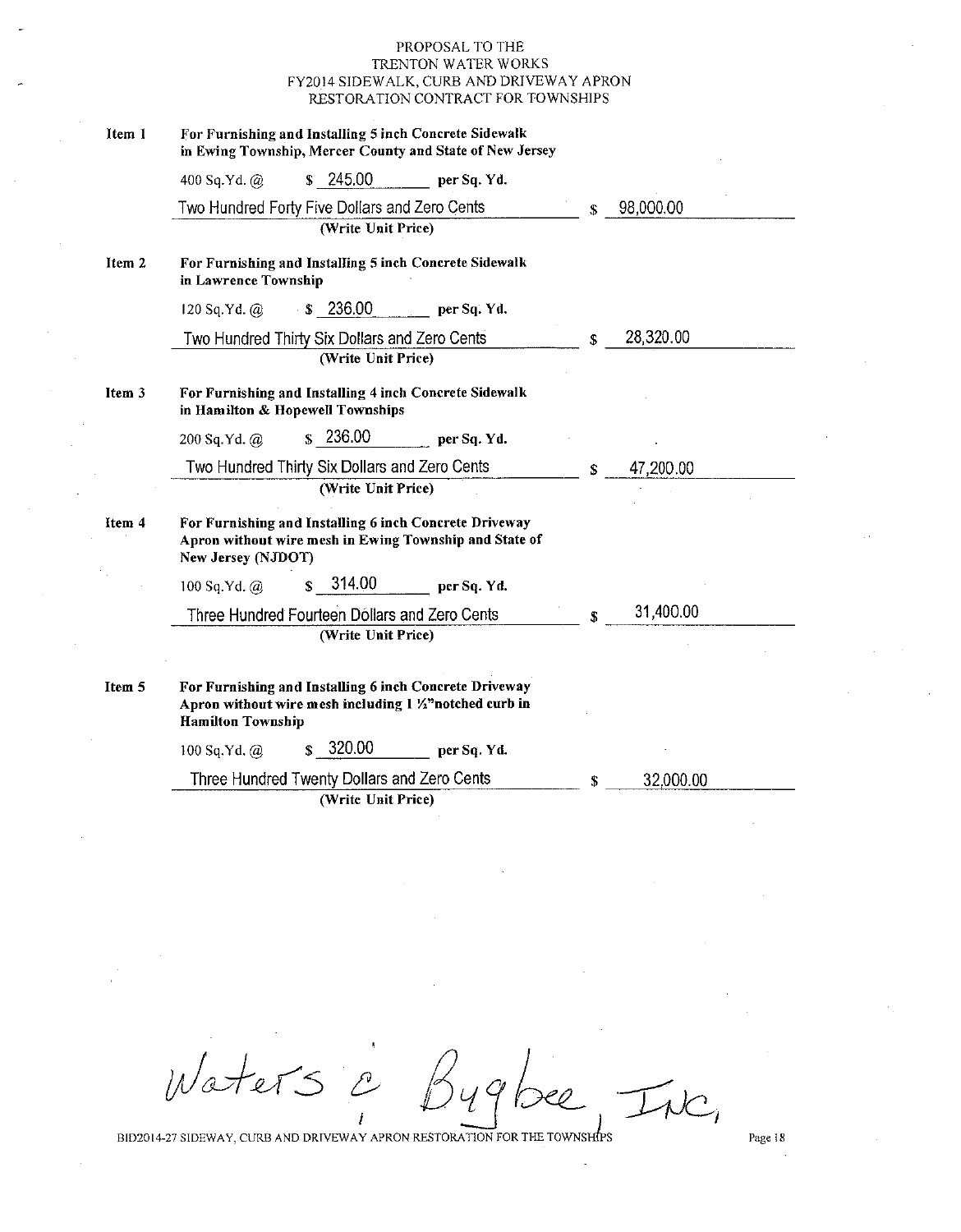| Item 1            | For Furnishing and Installing 5 inch Concrete Sidewalk<br>in Ewing Township, Mercer County and State of New Jersey                             |    |           |
|-------------------|------------------------------------------------------------------------------------------------------------------------------------------------|----|-----------|
|                   | \$245.00<br>400 Sq.Yd. $@$<br>per Sq. Yd.                                                                                                      |    |           |
|                   | Two Hundred Forty Five Dollars and Zero Cents                                                                                                  | \$ | 98,000.00 |
|                   | (Write Unit Price)                                                                                                                             |    |           |
| Item <sub>2</sub> | For Furnishing and Installing 5 inch Concrete Sidewalk<br>in Lawrence Township                                                                 |    |           |
|                   | $\cdot$ \$ 236.00<br>120 Sq.Yd. @<br>per Sq. Yd.                                                                                               |    |           |
|                   | Two Hundred Thirty Six Dollars and Zero Cents                                                                                                  | \$ | 28,320.00 |
|                   | (Write Unit Price)                                                                                                                             |    |           |
| Item 3            | For Furnishing and Installing 4 inch Concrete Sidewalk<br>in Hamilton & Hopewell Townships                                                     |    |           |
|                   | $\frac{1}{2}$ 236.00<br>200 Sq.Yd. @<br>per Sq. Yd.                                                                                            |    |           |
|                   | Two Hundred Thirty Six Dollars and Zero Cents                                                                                                  | \$ | 47,200.00 |
|                   | (Write Unit Price)                                                                                                                             |    |           |
| Item 4            | For Furnishing and Installing 6 inch Concrete Driveway<br>Apron without wire mesh in Ewing Township and State of<br>New Jersey (NJDOT)         |    |           |
|                   | 314.00<br>$\mathbf{s}$<br>per Sq. Yd.<br>100 Sq.Yd. $(a)$                                                                                      |    |           |
|                   | Three Hundred Fourteen Dollars and Zero Cents                                                                                                  | S  | 31,400.00 |
|                   | (Write Unit Price)                                                                                                                             |    |           |
| Item 5            | For Furnishing and Installing 6 inch Concrete Driveway<br>Apron without wire mesh including 1 1/2" notched curb in<br><b>Hamilton Township</b> |    |           |
|                   | $s$ 320.00<br>100 Sq.Yd. $(a)$<br>per Sq. Yd.                                                                                                  |    |           |
|                   | Three Hundred Twenty Dollars and Zero Cents                                                                                                    | \$ | 32,000.00 |
|                   | (Write Unit Price)                                                                                                                             |    |           |

Waters  $49k$  $\bar{L}nc$ Del  $\overline{I}$ 

BID2014-27 SIDEWAY, CURB AND DRIVEWAY APRON RESTORATION FOR THE TOWNSHIPS

Page  $18\,$